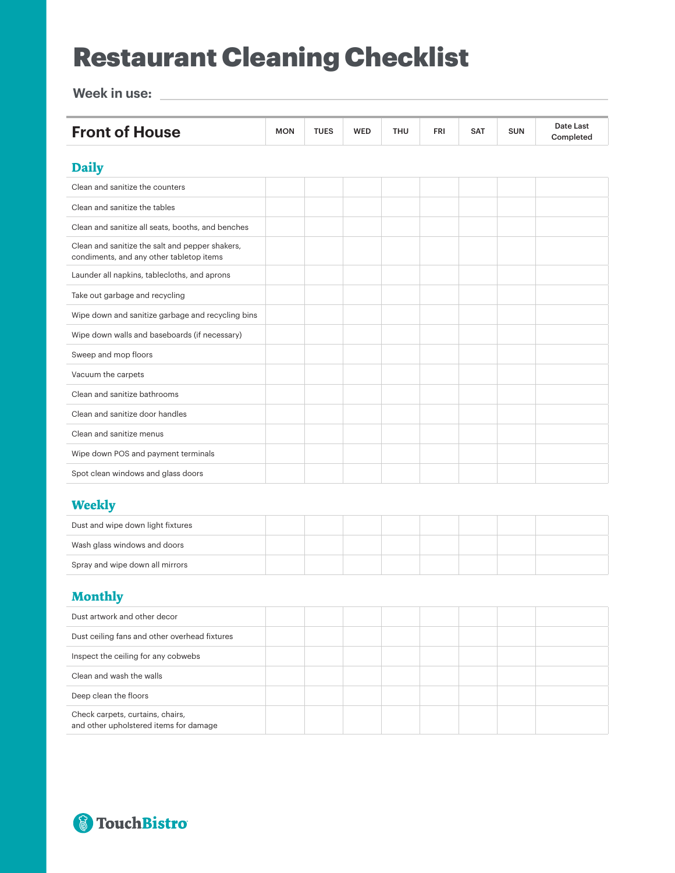## Restaurant Cleaning Checklist

**Week in use:**

| <b>Front of House</b>                                                                       | <b>MON</b> | <b>TUES</b> | <b>WED</b> | <b>THU</b> | <b>FRI</b> | <b>SAT</b> | <b>SUN</b> | Date Last<br>Completed |
|---------------------------------------------------------------------------------------------|------------|-------------|------------|------------|------------|------------|------------|------------------------|
|                                                                                             |            |             |            |            |            |            |            |                        |
| <b>Daily</b>                                                                                |            |             |            |            |            |            |            |                        |
| Clean and sanitize the counters                                                             |            |             |            |            |            |            |            |                        |
| Clean and sanitize the tables                                                               |            |             |            |            |            |            |            |                        |
| Clean and sanitize all seats, booths, and benches                                           |            |             |            |            |            |            |            |                        |
| Clean and sanitize the salt and pepper shakers,<br>condiments, and any other tabletop items |            |             |            |            |            |            |            |                        |
| Launder all napkins, tablecloths, and aprons                                                |            |             |            |            |            |            |            |                        |
| Take out garbage and recycling                                                              |            |             |            |            |            |            |            |                        |
| Wipe down and sanitize garbage and recycling bins                                           |            |             |            |            |            |            |            |                        |
| Wipe down walls and baseboards (if necessary)                                               |            |             |            |            |            |            |            |                        |
| Sweep and mop floors                                                                        |            |             |            |            |            |            |            |                        |
| Vacuum the carpets                                                                          |            |             |            |            |            |            |            |                        |
| Clean and sanitize bathrooms                                                                |            |             |            |            |            |            |            |                        |
| Clean and sanitize door handles                                                             |            |             |            |            |            |            |            |                        |
| Clean and sanitize menus                                                                    |            |             |            |            |            |            |            |                        |
| Wipe down POS and payment terminals                                                         |            |             |            |            |            |            |            |                        |
| Spot clean windows and glass doors                                                          |            |             |            |            |            |            |            |                        |

#### **Weekly**

| Dust and wipe down light fixtures |  |  |  |  |
|-----------------------------------|--|--|--|--|
| Wash glass windows and doors      |  |  |  |  |
| Spray and wipe down all mirrors   |  |  |  |  |

### **Monthly**

| Dust artwork and other decor                                               |  |  |  |  |
|----------------------------------------------------------------------------|--|--|--|--|
| Dust ceiling fans and other overhead fixtures                              |  |  |  |  |
| Inspect the ceiling for any cobwebs                                        |  |  |  |  |
| Clean and wash the walls                                                   |  |  |  |  |
| Deep clean the floors                                                      |  |  |  |  |
| Check carpets, curtains, chairs,<br>and other upholstered items for damage |  |  |  |  |

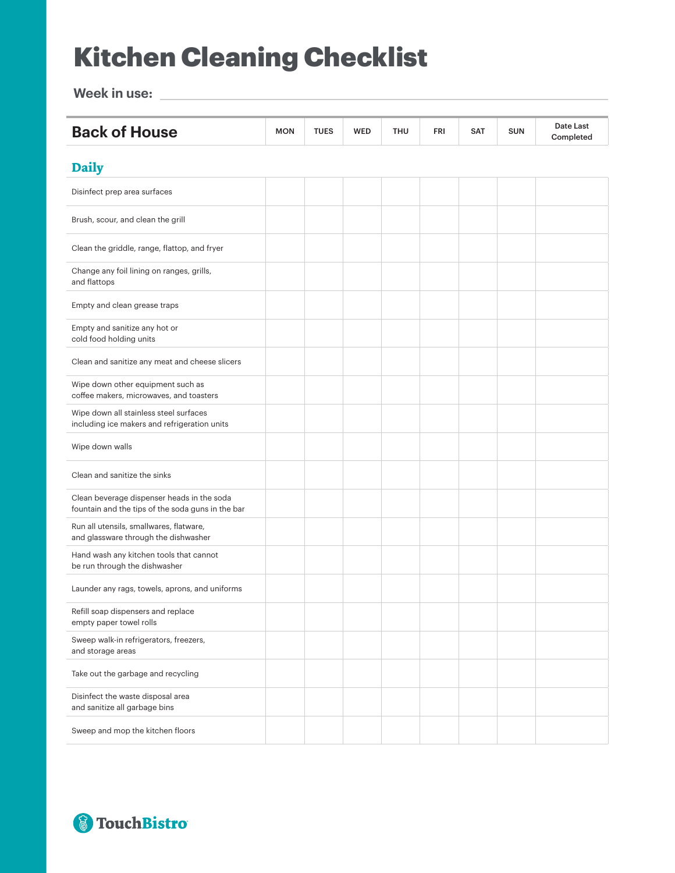# Kitchen Cleaning Checklist

**Week in use:**

| <b>Back of House</b>                                                                            | <b>MON</b> | <b>TUES</b> | <b>WED</b> | <b>THU</b> | <b>FRI</b> | <b>SAT</b> | <b>SUN</b> | Date Last<br>Completed |
|-------------------------------------------------------------------------------------------------|------------|-------------|------------|------------|------------|------------|------------|------------------------|
| <b>Daily</b>                                                                                    |            |             |            |            |            |            |            |                        |
| Disinfect prep area surfaces                                                                    |            |             |            |            |            |            |            |                        |
| Brush, scour, and clean the grill                                                               |            |             |            |            |            |            |            |                        |
| Clean the griddle, range, flattop, and fryer                                                    |            |             |            |            |            |            |            |                        |
| Change any foil lining on ranges, grills,<br>and flattops                                       |            |             |            |            |            |            |            |                        |
| Empty and clean grease traps                                                                    |            |             |            |            |            |            |            |                        |
| Empty and sanitize any hot or<br>cold food holding units                                        |            |             |            |            |            |            |            |                        |
| Clean and sanitize any meat and cheese slicers                                                  |            |             |            |            |            |            |            |                        |
| Wipe down other equipment such as<br>coffee makers, microwaves, and toasters                    |            |             |            |            |            |            |            |                        |
| Wipe down all stainless steel surfaces<br>including ice makers and refrigeration units          |            |             |            |            |            |            |            |                        |
| Wipe down walls                                                                                 |            |             |            |            |            |            |            |                        |
| Clean and sanitize the sinks                                                                    |            |             |            |            |            |            |            |                        |
| Clean beverage dispenser heads in the soda<br>fountain and the tips of the soda guns in the bar |            |             |            |            |            |            |            |                        |
| Run all utensils, smallwares, flatware,<br>and glassware through the dishwasher                 |            |             |            |            |            |            |            |                        |
| Hand wash any kitchen tools that cannot<br>be run through the dishwasher                        |            |             |            |            |            |            |            |                        |
| Launder any rags, towels, aprons, and uniforms                                                  |            |             |            |            |            |            |            |                        |
| Refill soap dispensers and replace<br>empty paper towel rolls                                   |            |             |            |            |            |            |            |                        |
| Sweep walk-in refrigerators, freezers,<br>and storage areas                                     |            |             |            |            |            |            |            |                        |
| Take out the garbage and recycling                                                              |            |             |            |            |            |            |            |                        |
| Disinfect the waste disposal area<br>and sanitize all garbage bins                              |            |             |            |            |            |            |            |                        |
| Sweep and mop the kitchen floors                                                                |            |             |            |            |            |            |            |                        |

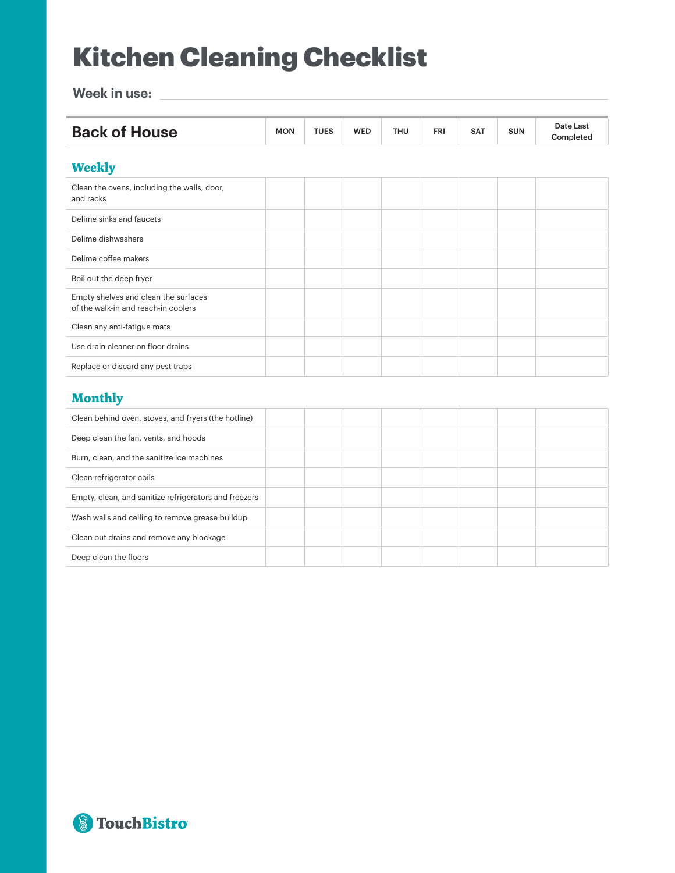# Kitchen Cleaning Checklist

**Week in use:**

| <b>Back of House</b>                                                        | <b>MON</b> | <b>TUES</b> | <b>WED</b> | <b>THU</b> | FRI | <b>SAT</b> | <b>SUN</b> | Date Last<br>Completed |
|-----------------------------------------------------------------------------|------------|-------------|------------|------------|-----|------------|------------|------------------------|
| <b>Weekly</b>                                                               |            |             |            |            |     |            |            |                        |
| Clean the ovens, including the walls, door,<br>and racks                    |            |             |            |            |     |            |            |                        |
| Delime sinks and faucets                                                    |            |             |            |            |     |            |            |                        |
| Delime dishwashers                                                          |            |             |            |            |     |            |            |                        |
| Delime coffee makers                                                        |            |             |            |            |     |            |            |                        |
| Boil out the deep fryer                                                     |            |             |            |            |     |            |            |                        |
| Empty shelves and clean the surfaces<br>of the walk-in and reach-in coolers |            |             |            |            |     |            |            |                        |
| Clean any anti-fatigue mats                                                 |            |             |            |            |     |            |            |                        |
| Use drain cleaner on floor drains                                           |            |             |            |            |     |            |            |                        |
| Replace or discard any pest traps                                           |            |             |            |            |     |            |            |                        |

#### **Monthly**

| Clean behind oven, stoves, and fryers (the hotline)   |  |  |  |  |
|-------------------------------------------------------|--|--|--|--|
| Deep clean the fan, vents, and hoods                  |  |  |  |  |
| Burn, clean, and the sanitize ice machines            |  |  |  |  |
| Clean refrigerator coils                              |  |  |  |  |
| Empty, clean, and sanitize refrigerators and freezers |  |  |  |  |
| Wash walls and ceiling to remove grease buildup       |  |  |  |  |
| Clean out drains and remove any blockage              |  |  |  |  |
| Deep clean the floors                                 |  |  |  |  |